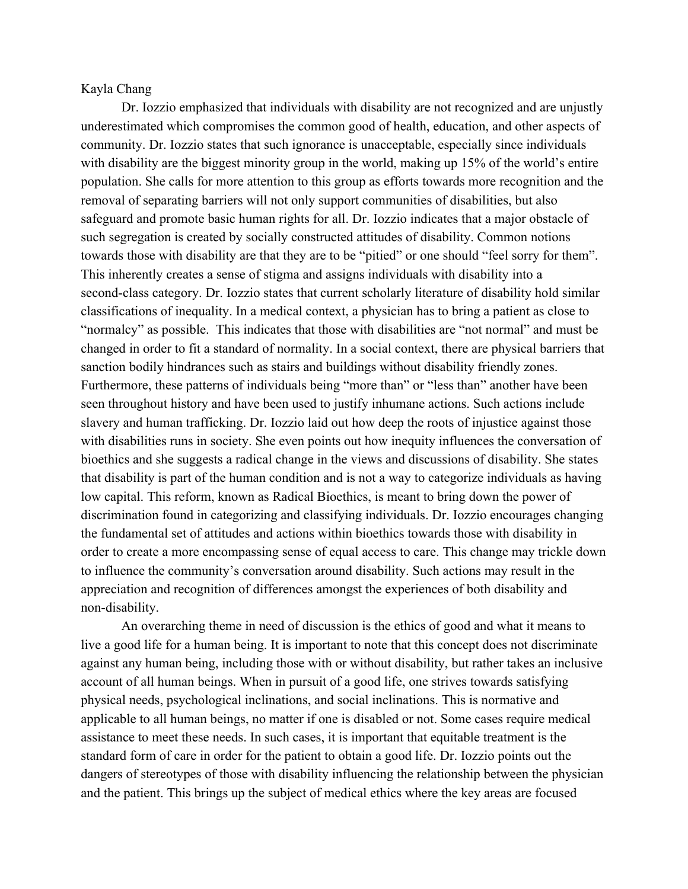## Kayla Chang

Dr. Iozzio emphasized that individuals with disability are not recognized and are unjustly underestimated which compromises the common good of health, education, and other aspects of community. Dr. Iozzio states that such ignorance is unacceptable, especially since individuals with disability are the biggest minority group in the world, making up 15% of the world's entire population. She calls for more attention to this group as efforts towards more recognition and the removal of separating barriers will not only support communities of disabilities, but also safeguard and promote basic human rights for all. Dr. Iozzio indicates that a major obstacle of such segregation is created by socially constructed attitudes of disability. Common notions towards those with disability are that they are to be "pitied" or one should "feel sorry for them". This inherently creates a sense of stigma and assigns individuals with disability into a second-class category. Dr. Iozzio states that current scholarly literature of disability hold similar classifications of inequality. In a medical context, a physician has to bring a patient as close to "normalcy" as possible. This indicates that those with disabilities are "not normal" and must be changed in order to fit a standard of normality. In a social context, there are physical barriers that sanction bodily hindrances such as stairs and buildings without disability friendly zones. Furthermore, these patterns of individuals being "more than" or "less than" another have been seen throughout history and have been used to justify inhumane actions. Such actions include slavery and human trafficking. Dr. Iozzio laid out how deep the roots of injustice against those with disabilities runs in society. She even points out how inequity influences the conversation of bioethics and she suggests a radical change in the views and discussions of disability. She states that disability is part of the human condition and is not a way to categorize individuals as having low capital. This reform, known as Radical Bioethics, is meant to bring down the power of discrimination found in categorizing and classifying individuals. Dr. Iozzio encourages changing the fundamental set of attitudes and actions within bioethics towards those with disability in order to create a more encompassing sense of equal access to care. This change may trickle down to influence the community's conversation around disability. Such actions may result in the appreciation and recognition of differences amongst the experiences of both disability and non-disability.

An overarching theme in need of discussion is the ethics of good and what it means to live a good life for a human being. It is important to note that this concept does not discriminate against any human being, including those with or without disability, but rather takes an inclusive account of all human beings. When in pursuit of a good life, one strives towards satisfying physical needs, psychological inclinations, and social inclinations. This is normative and applicable to all human beings, no matter if one is disabled or not. Some cases require medical assistance to meet these needs. In such cases, it is important that equitable treatment is the standard form of care in order for the patient to obtain a good life. Dr. Iozzio points out the dangers of stereotypes of those with disability influencing the relationship between the physician and the patient. This brings up the subject of medical ethics where the key areas are focused